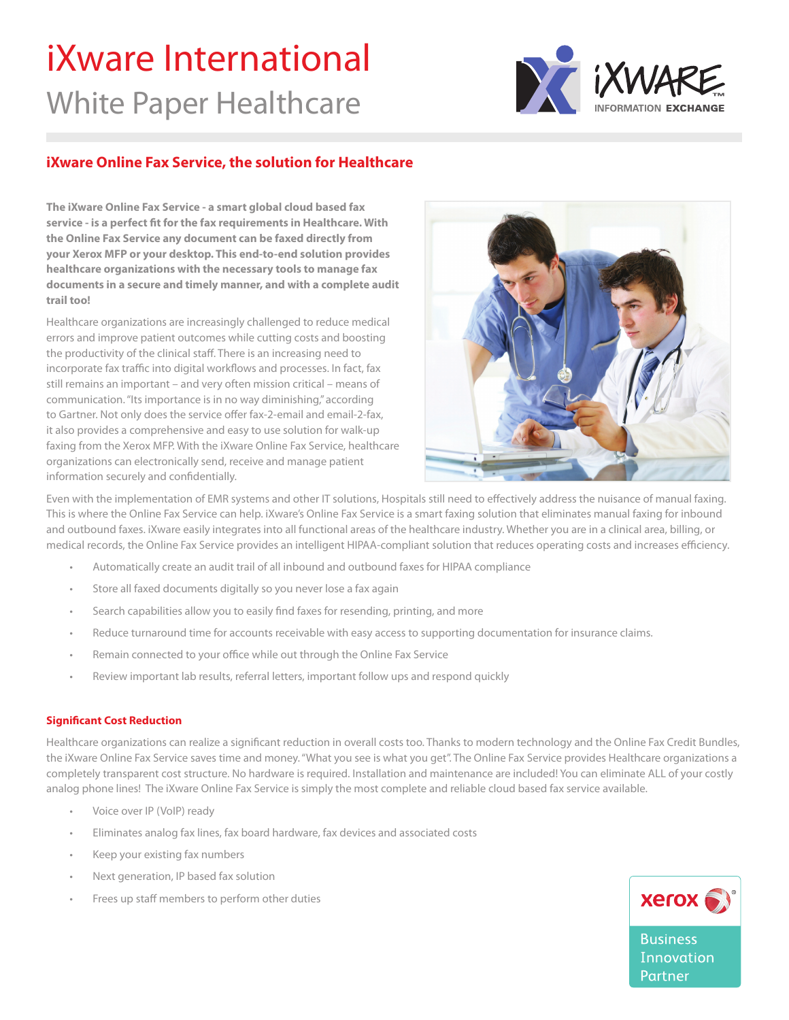# iXware International White Paper Healthcare



# **iXware Online Fax Service, the solution for Healthcare**

**The iXware Online Fax Service - a smart global cloud based fax service - is a perfect fit for the fax requirements in Healthcare. With the Online Fax Service any document can be faxed directly from your Xerox MFP or your desktop. This end-to-end solution provides healthcare organizations with the necessary tools to manage fax documents in a secure and timely manner, and with a complete audit trail too!**

Healthcare organizations are increasingly challenged to reduce medical errors and improve patient outcomes while cutting costs and boosting the productivity of the clinical staff. There is an increasing need to incorporate fax traffic into digital workflows and processes. In fact, fax still remains an important – and very often mission critical – means of communication. "Its importance is in no way diminishing," according to Gartner. Not only does the service offer fax-2-email and email-2-fax, it also provides a comprehensive and easy to use solution for walk-up faxing from the Xerox MFP. With the iXware Online Fax Service, healthcare organizations can electronically send, receive and manage patient information securely and confidentially.



Even with the implementation of EMR systems and other IT solutions, Hospitals still need to effectively address the nuisance of manual faxing. This is where the Online Fax Service can help. iXware's Online Fax Service is a smart faxing solution that eliminates manual faxing for inbound and outbound faxes. iXware easily integrates into all functional areas of the healthcare industry. Whether you are in a clinical area, billing, or medical records, the Online Fax Service provides an intelligent HIPAA-compliant solution that reduces operating costs and increases efficiency.

- Automatically create an audit trail of all inbound and outbound faxes for HIPAA compliance
- Store all faxed documents digitally so you never lose a fax again
- Search capabilities allow you to easily find faxes for resending, printing, and more
- Reduce turnaround time for accounts receivable with easy access to supporting documentation for insurance claims.
- Remain connected to your office while out through the Online Fax Service
- Review important lab results, referral letters, important follow ups and respond quickly

### **Significant Cost Reduction**

Healthcare organizations can realize a significant reduction in overall costs too. Thanks to modern technology and the Online Fax Credit Bundles, the iXware Online Fax Service saves time and money. "What you see is what you get". The Online Fax Service provides Healthcare organizations a completely transparent cost structure. No hardware is required. Installation and maintenance are included! You can eliminate ALL of your costly analog phone lines! The iXware Online Fax Service is simply the most complete and reliable cloud based fax service available.

- Voice over IP (VoIP) ready
- Eliminates analog fax lines, fax board hardware, fax devices and associated costs
- Keep your existing fax numbers
- Next generation, IP based fax solution
- Frees up staff members to perform other duties